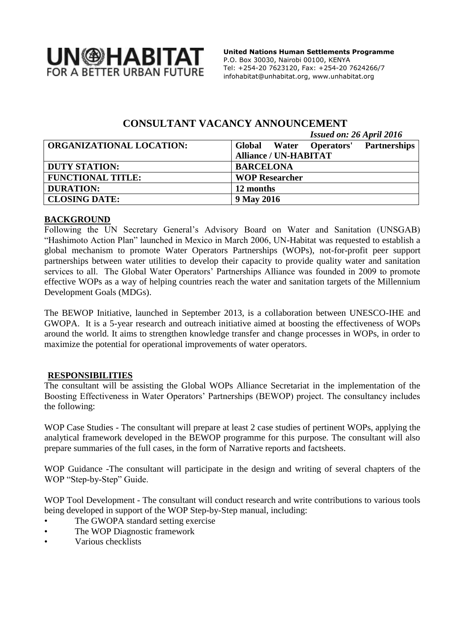

 **United Nations Human Settlements Programme** P.O. Box 30030, Nairobi 00100, KENYA Tel: +254-20 7623120, Fax: +254-20 7624266/7 [infohabitat@unhabitat.org,](mailto:infohabitat@unhabitat.org) www.unhabitat.org

# **CONSULTANT VACANCY ANNOUNCEMENT**

| <b>Issued on: 26 April 2016</b> |  |
|---------------------------------|--|
|---------------------------------|--|

| <b>ORGANIZATIONAL LOCATION:</b> | <b>Partnerships</b><br>Global Water Operators' |
|---------------------------------|------------------------------------------------|
|                                 | <b>Alliance / UN-HABITAT</b>                   |
| <b>DUTY STATION:</b>            | <b>BARCELONA</b>                               |
| <b>FUNCTIONAL TITLE:</b>        | <b>WOP Researcher</b>                          |
| <b>DURATION:</b>                | 12 months                                      |
| <b>CLOSING DATE:</b>            | 9 May 2016                                     |

## **BACKGROUND**

Following the UN Secretary General's Advisory Board on Water and Sanitation (UNSGAB) "Hashimoto Action Plan" launched in Mexico in March 2006, UN-Habitat was requested to establish a global mechanism to promote Water Operators Partnerships (WOPs), not-for-profit peer support partnerships between water utilities to develop their capacity to provide quality water and sanitation services to all. The Global Water Operators' Partnerships Alliance was founded in 2009 to promote effective WOPs as a way of helping countries reach the water and sanitation targets of the Millennium Development Goals (MDGs).

The BEWOP Initiative, launched in September 2013, is a collaboration between UNESCO-IHE and GWOPA. It is a 5-year research and outreach initiative aimed at boosting the effectiveness of WOPs around the world. It aims to strengthen knowledge transfer and change processes in WOPs, in order to maximize the potential for operational improvements of water operators.

### **RESPONSIBILITIES**

The consultant will be assisting the Global WOPs Alliance Secretariat in the implementation of the Boosting Effectiveness in Water Operators' Partnerships (BEWOP) project. The consultancy includes the following:

WOP Case Studies - The consultant will prepare at least 2 case studies of pertinent WOPs, applying the analytical framework developed in the BEWOP programme for this purpose. The consultant will also prepare summaries of the full cases, in the form of Narrative reports and factsheets.

WOP Guidance -The consultant will participate in the design and writing of several chapters of the WOP "Step-by-Step" Guide.

WOP Tool Development - The consultant will conduct research and write contributions to various tools being developed in support of the WOP Step-by-Step manual, including:

- The GWOPA standard setting exercise
- The WOP Diagnostic framework
- Various checklists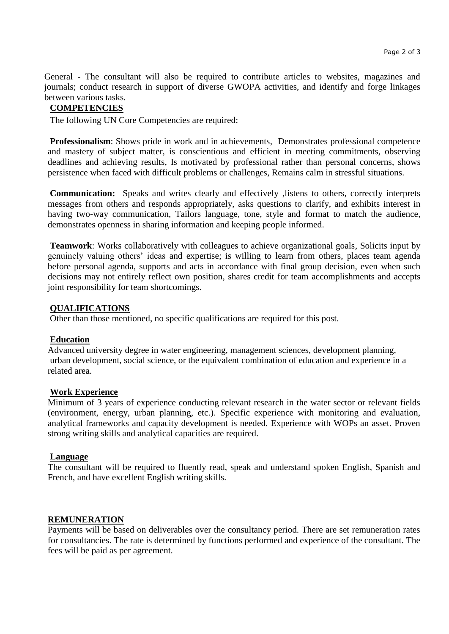General - The consultant will also be required to contribute articles to websites, magazines and journals; conduct research in support of diverse GWOPA activities, and identify and forge linkages between various tasks.

## **COMPETENCIES**

The following UN Core Competencies are required:

**Professionalism**: Shows pride in work and in achievements, Demonstrates professional competence and mastery of subject matter, is conscientious and efficient in meeting commitments, observing deadlines and achieving results, Is motivated by professional rather than personal concerns, shows persistence when faced with difficult problems or challenges, Remains calm in stressful situations.

**Communication:** Speaks and writes clearly and effectively ,listens to others, correctly interprets messages from others and responds appropriately, asks questions to clarify, and exhibits interest in having two-way communication, Tailors language, tone, style and format to match the audience, demonstrates openness in sharing information and keeping people informed.

**Teamwork**: Works collaboratively with colleagues to achieve organizational goals, Solicits input by genuinely valuing others' ideas and expertise; is willing to learn from others, places team agenda before personal agenda, supports and acts in accordance with final group decision, even when such decisions may not entirely reflect own position, shares credit for team accomplishments and accepts joint responsibility for team shortcomings.

### **QUALIFICATIONS**

Other than those mentioned, no specific qualifications are required for this post.

### **Education**

Advanced university degree in water engineering, management sciences, development planning, urban development, social science, or the equivalent combination of education and experience in a related area.

### **Work Experience**

Minimum of 3 years of experience conducting relevant research in the water sector or relevant fields (environment, energy, urban planning, etc.). Specific experience with monitoring and evaluation, analytical frameworks and capacity development is needed. Experience with WOPs an asset. Proven strong writing skills and analytical capacities are required.

### **Language**

The consultant will be required to fluently read, speak and understand spoken English, Spanish and French, and have excellent English writing skills.

#### **REMUNERATION**

Payments will be based on deliverables over the consultancy period. There are set remuneration rates for consultancies. The rate is determined by functions performed and experience of the consultant. The fees will be paid as per agreement.